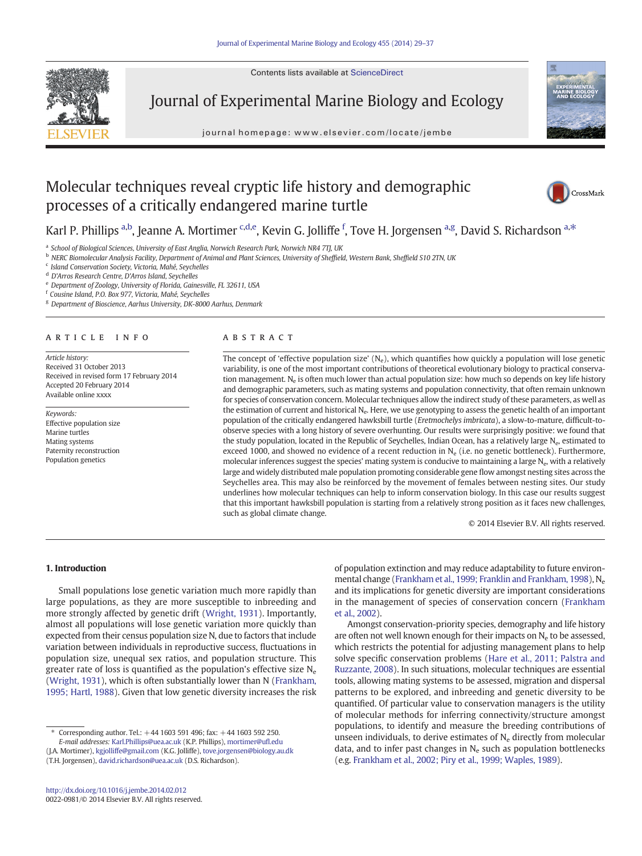Contents lists available at ScienceDirect



Journal of Experimental Marine Biology and Ecology

journal homepage: www.elsevier.com/locate/jembe



# Molecular techniques reveal cryptic life history and demographic processes of a critically endangered marine turtle



Karl P. Phillips <sup>a,b</sup>, Jeanne A. Mortimer <sup>c,d,e</sup>, Kevin G. Jolliffe <sup>f</sup>, Tove H. Jorgensen <sup>a,g</sup>, David S. Richardson <sup>a,\*</sup>

<sup>a</sup> School of Biological Sciences, University of East Anglia, Norwich Research Park, Norwich NR4 7TJ, UK

<sup>b</sup> NERC Biomolecular Analysis Facility, Department of Animal and Plant Sciences, University of Sheffield, Western Bank, Sheffield S10 2TN, UK

<sup>c</sup> Island Conservation Society, Victoria, Mahé, Seychelles

<sup>d</sup> D'Arros Research Centre, D'Arros Island, Seychelles

<sup>e</sup> Department of Zoology, University of Florida, Gainesville, FL 32611, USA

<sup>f</sup> Cousine Island, P.O. Box 977, Victoria, Mahé, Seychelles

<sup>g</sup> Department of Bioscience, Aarhus University, DK-8000 Aarhus, Denmark

# ARTICLE INFO ABSTRACT

Article history: Received 31 October 2013 Received in revised form 17 February 2014 Accepted 20 February 2014 Available online xxxx

Keywords: Effective population size Marine turtles Mating systems Paternity reconstruction Population genetics

The concept of 'effective population size'  $(N_e)$ , which quantifies how quickly a population will lose genetic variability, is one of the most important contributions of theoretical evolutionary biology to practical conservation management. N<sub>e</sub> is often much lower than actual population size: how much so depends on key life history and demographic parameters, such as mating systems and population connectivity, that often remain unknown for species of conservation concern. Molecular techniques allow the indirect study of these parameters, as well as the estimation of current and historical  $N_e$ . Here, we use genotyping to assess the genetic health of an important population of the critically endangered hawksbill turtle (Eretmochelys imbricata), a slow-to-mature, difficult-toobserve species with a long history of severe overhunting. Our results were surprisingly positive: we found that the study population, located in the Republic of Seychelles, Indian Ocean, has a relatively large  $N_e$ , estimated to exceed 1000, and showed no evidence of a recent reduction in  $N_e$  (i.e. no genetic bottleneck). Furthermore, molecular inferences suggest the species' mating system is conducive to maintaining a large  $N_e$ , with a relatively large and widely distributed male population promoting considerable gene flow amongst nesting sites across the Seychelles area. This may also be reinforced by the movement of females between nesting sites. Our study underlines how molecular techniques can help to inform conservation biology. In this case our results suggest that this important hawksbill population is starting from a relatively strong position as it faces new challenges, such as global climate change.

© 2014 Elsevier B.V. All rights reserved.

## 1. Introduction

Small populations lose genetic variation much more rapidly than large populations, as they are more susceptible to inbreeding and more strongly affected by genetic drift ([Wright, 1931\)](#page-8-0). Importantly, almost all populations will lose genetic variation more quickly than expected from their census population size N, due to factors that include variation between individuals in reproductive success, fluctuations in population size, unequal sex ratios, and population structure. This greater rate of loss is quantified as the population's effective size  $N_e$ [\(Wright, 1931\)](#page-8-0), which is often substantially lower than N [\(Frankham,](#page-7-0) [1995; Hartl, 1988\)](#page-7-0). Given that low genetic diversity increases the risk

(T.H. Jorgensen), [david.richardson@uea.ac.uk](mailto:david.richardson@uea.ac.uk) (D.S. Richardson).

of population extinction and may reduce adaptability to future environmental change [\(Frankham et al., 1999; Franklin and Frankham, 1998](#page-7-0)), Ne and its implications for genetic diversity are important considerations in the management of species of conservation concern [\(Frankham](#page-7-0) [et al., 2002](#page-7-0)).

Amongst conservation-priority species, demography and life history are often not well known enough for their impacts on  $N_e$  to be assessed, which restricts the potential for adjusting management plans to help solve specific conservation problems [\(Hare et al., 2011; Palstra and](#page-7-0) [Ruzzante, 2008\)](#page-7-0). In such situations, molecular techniques are essential tools, allowing mating systems to be assessed, migration and dispersal patterns to be explored, and inbreeding and genetic diversity to be quantified. Of particular value to conservation managers is the utility of molecular methods for inferring connectivity/structure amongst populations, to identify and measure the breeding contributions of unseen individuals, to derive estimates of  $N_e$  directly from molecular data, and to infer past changes in  $N_e$  such as population bottlenecks (e.g. [Frankham et al., 2002; Piry et al., 1999; Waples, 1989\)](#page-7-0).

Corresponding author. Tel.:  $+44$  1603 591 496; fax:  $+44$  1603 592 250. E-mail addresses: [Karl.Phillips@uea.ac.uk](mailto:Karl.Phillips@uea.ac.uk) (K.P. Phillips), [mortimer@u](mailto:mortimer@ufl.edu)fl.edu

<sup>(</sup>J.A. Mortimer), [kgjolliffe@gmail.com](mailto:kgjolliffe@gmail.com) (K.G. Jolliffe), [tove.jorgensen@biology.au.dk](mailto:tove.jorgensen@biology.au.dk)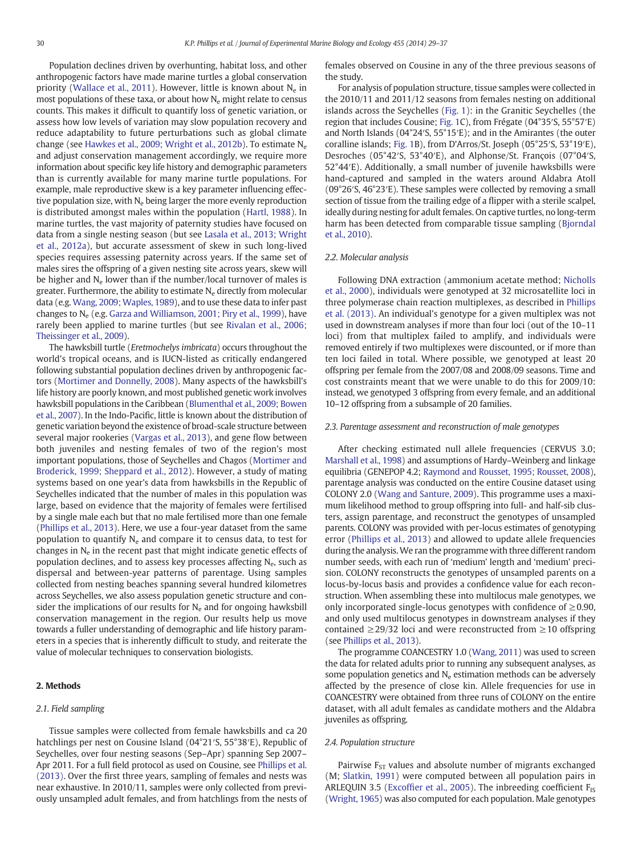Population declines driven by overhunting, habitat loss, and other anthropogenic factors have made marine turtles a global conservation priority ([Wallace et al., 2011\)](#page-8-0). However, little is known about  $N_e$  in most populations of these taxa, or about how  $N_e$  might relate to census counts. This makes it difficult to quantify loss of genetic variation, or assess how low levels of variation may slow population recovery and reduce adaptability to future perturbations such as global climate change (see [Hawkes et al., 2009; Wright et al., 2012b\)](#page-7-0). To estimate Ne and adjust conservation management accordingly, we require more information about specific key life history and demographic parameters than is currently available for many marine turtle populations. For example, male reproductive skew is a key parameter influencing effective population size, with  $N_e$  being larger the more evenly reproduction is distributed amongst males within the population ([Hartl, 1988\)](#page-7-0). In marine turtles, the vast majority of paternity studies have focused on data from a single nesting season (but see [Lasala et al., 2013; Wright](#page-7-0) [et al., 2012a](#page-7-0)), but accurate assessment of skew in such long-lived species requires assessing paternity across years. If the same set of males sires the offspring of a given nesting site across years, skew will be higher and  $N_e$  lower than if the number/local turnover of males is greater. Furthermore, the ability to estimate  $N_e$  directly from molecular data (e.g. [Wang, 2009; Waples, 1989](#page-8-0)), and to use these data to infer past changes to  $N_e$  (e.g. [Garza and Williamson, 2001; Piry et al., 1999\)](#page-7-0), have rarely been applied to marine turtles (but see [Rivalan et al., 2006;](#page-8-0) [Theissinger et al., 2009\)](#page-8-0).

The hawksbill turtle (Eretmochelys imbricata) occurs throughout the world's tropical oceans, and is IUCN-listed as critically endangered following substantial population declines driven by anthropogenic factors ([Mortimer and Donnelly, 2008\)](#page-8-0). Many aspects of the hawksbill's life history are poorly known, and most published genetic work involves hawksbill populations in the Caribbean ([Blumenthal et al., 2009; Bowen](#page-7-0) [et al., 2007\)](#page-7-0). In the Indo-Pacific, little is known about the distribution of genetic variation beyond the existence of broad-scale structure between several major rookeries [\(Vargas et al., 2013\)](#page-8-0), and gene flow between both juveniles and nesting females of two of the region's most important populations, those of Seychelles and Chagos ([Mortimer and](#page-8-0) [Broderick, 1999; Sheppard et al., 2012\)](#page-8-0). However, a study of mating systems based on one year's data from hawksbills in the Republic of Seychelles indicated that the number of males in this population was large, based on evidence that the majority of females were fertilised by a single male each but that no male fertilised more than one female [\(Phillips et al., 2013](#page-8-0)). Here, we use a four-year dataset from the same population to quantify  $N_e$  and compare it to census data, to test for changes in  $N_e$  in the recent past that might indicate genetic effects of population declines, and to assess key processes affecting  $N_e$ , such as dispersal and between-year patterns of parentage. Using samples collected from nesting beaches spanning several hundred kilometres across Seychelles, we also assess population genetic structure and consider the implications of our results for  $N_e$  and for ongoing hawksbill conservation management in the region. Our results help us move towards a fuller understanding of demographic and life history parameters in a species that is inherently difficult to study, and reiterate the value of molecular techniques to conservation biologists.

#### 2. Methods

#### 2.1. Field sampling

Tissue samples were collected from female hawksbills and ca 20 hatchlings per nest on Cousine Island (04°21′S, 55°38′E), Republic of Seychelles, over four nesting seasons (Sep–Apr) spanning Sep 2007– Apr 2011. For a full field protocol as used on Cousine, see [Phillips et al.](#page-8-0) [\(2013\)](#page-8-0). Over the first three years, sampling of females and nests was near exhaustive. In 2010/11, samples were only collected from previously unsampled adult females, and from hatchlings from the nests of

females observed on Cousine in any of the three previous seasons of the study.

For analysis of population structure, tissue samples were collected in the 2010/11 and 2011/12 seasons from females nesting on additional islands across the Seychelles [\(Fig. 1\)](#page-2-0): in the Granitic Seychelles (the region that includes Cousine; [Fig. 1C](#page-2-0)), from Frégate (04°35′S, 55°57′E) and North Islands (04°24′S, 55°15′E); and in the Amirantes (the outer coralline islands; [Fig. 1B](#page-2-0)), from D'Arros/St. Joseph (05°25′S, 53°19′E), Desroches (05°42′S, 53°40′E), and Alphonse/St. François (07°04′S, 52°44′E). Additionally, a small number of juvenile hawksbills were hand-captured and sampled in the waters around Aldabra Atoll (09°26′S, 46°23′E). These samples were collected by removing a small section of tissue from the trailing edge of a flipper with a sterile scalpel, ideally during nesting for adult females. On captive turtles, no long-term harm has been detected from comparable tissue sampling ([Bjorndal](#page-7-0) [et al., 2010](#page-7-0)).

#### 2.2. Molecular analysis

Following DNA extraction (ammonium acetate method; [Nicholls](#page-8-0) [et al., 2000](#page-8-0)), individuals were genotyped at 32 microsatellite loci in three polymerase chain reaction multiplexes, as described in [Phillips](#page-8-0) [et al. \(2013\)](#page-8-0). An individual's genotype for a given multiplex was not used in downstream analyses if more than four loci (out of the 10–11 loci) from that multiplex failed to amplify, and individuals were removed entirely if two multiplexes were discounted, or if more than ten loci failed in total. Where possible, we genotyped at least 20 offspring per female from the 2007/08 and 2008/09 seasons. Time and cost constraints meant that we were unable to do this for 2009/10: instead, we genotyped 3 offspring from every female, and an additional 10–12 offspring from a subsample of 20 families.

#### 2.3. Parentage assessment and reconstruction of male genotypes

After checking estimated null allele frequencies (CERVUS 3.0; [Marshall et al., 1998\)](#page-8-0) and assumptions of Hardy–Weinberg and linkage equilibria (GENEPOP 4.2; [Raymond and Rousset, 1995; Rousset, 2008\)](#page-8-0), parentage analysis was conducted on the entire Cousine dataset using COLONY 2.0 ([Wang and Santure, 2009](#page-8-0)). This programme uses a maximum likelihood method to group offspring into full- and half-sib clusters, assign parentage, and reconstruct the genotypes of unsampled parents. COLONY was provided with per-locus estimates of genotyping error [\(Phillips et al., 2013\)](#page-8-0) and allowed to update allele frequencies during the analysis.We ran the programme with three different random number seeds, with each run of 'medium' length and 'medium' precision. COLONY reconstructs the genotypes of unsampled parents on a locus-by-locus basis and provides a confidence value for each reconstruction. When assembling these into multilocus male genotypes, we only incorporated single-locus genotypes with confidence of  $\geq$ 0.90, and only used multilocus genotypes in downstream analyses if they contained  $\geq$  29/32 loci and were reconstructed from  $\geq$  10 offspring (see [Phillips et al., 2013](#page-8-0)).

The programme COANCESTRY 1.0 [\(Wang, 2011\)](#page-8-0) was used to screen the data for related adults prior to running any subsequent analyses, as some population genetics and  $N_e$  estimation methods can be adversely affected by the presence of close kin. Allele frequencies for use in COANCESTRY were obtained from three runs of COLONY on the entire dataset, with all adult females as candidate mothers and the Aldabra juveniles as offspring.

#### 2.4. Population structure

Pairwise  $F_{ST}$  values and absolute number of migrants exchanged (M; [Slatkin, 1991](#page-8-0)) were computed between all population pairs in ARLEQUIN 3.5 (Excoffi[er et al., 2005](#page-7-0)). The inbreeding coefficient  $F_{IS}$ [\(Wright, 1965\)](#page-8-0) was also computed for each population. Male genotypes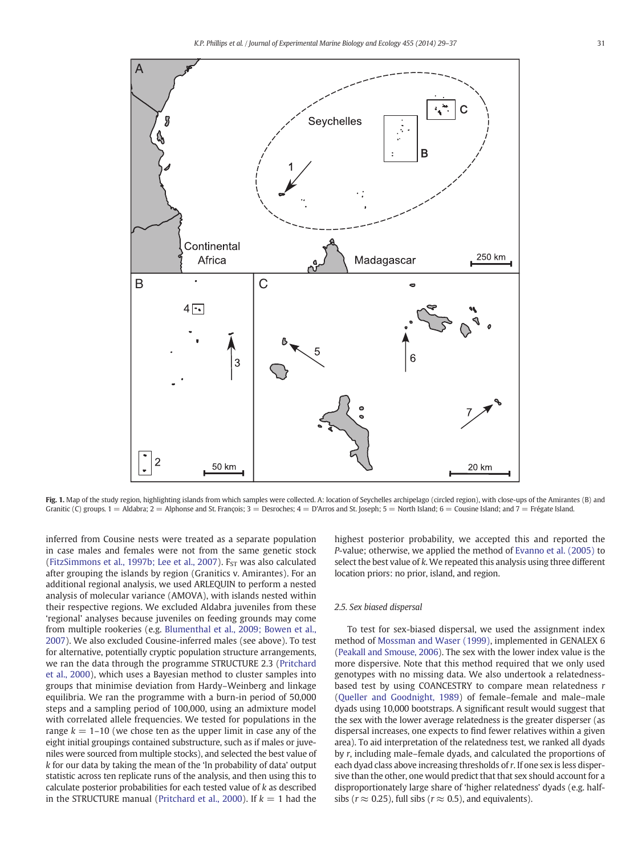<span id="page-2-0"></span>

Fig. 1. Map of the study region, highlighting islands from which samples were collected. A: location of Seychelles archipelago (circled region), with close-ups of the Amirantes (B) and Granitic (C) groups. 1 = Aldabra; 2 = Alphonse and St. François; 3 = Desroches; 4 = D'Arros and St. Joseph; 5 = North Island; 6 = Cousine Island; and 7 = Frégate Island.

inferred from Cousine nests were treated as a separate population in case males and females were not from the same genetic stock [\(FitzSimmons et al., 1997b; Lee et al., 2007\)](#page-7-0).  $F<sub>ST</sub>$  was also calculated after grouping the islands by region (Granitics v. Amirantes). For an additional regional analysis, we used ARLEQUIN to perform a nested analysis of molecular variance (AMOVA), with islands nested within their respective regions. We excluded Aldabra juveniles from these 'regional' analyses because juveniles on feeding grounds may come from multiple rookeries (e.g. [Blumenthal et al., 2009; Bowen et al.,](#page-7-0) [2007\)](#page-7-0). We also excluded Cousine-inferred males (see above). To test for alternative, potentially cryptic population structure arrangements, we ran the data through the programme STRUCTURE 2.3 ([Pritchard](#page-8-0) [et al., 2000\)](#page-8-0), which uses a Bayesian method to cluster samples into groups that minimise deviation from Hardy–Weinberg and linkage equilibria. We ran the programme with a burn-in period of 50,000 steps and a sampling period of 100,000, using an admixture model with correlated allele frequencies. We tested for populations in the range  $k = 1$ –10 (we chose ten as the upper limit in case any of the eight initial groupings contained substructure, such as if males or juveniles were sourced from multiple stocks), and selected the best value of k for our data by taking the mean of the 'ln probability of data' output statistic across ten replicate runs of the analysis, and then using this to calculate posterior probabilities for each tested value of k as described in the STRUCTURE manual [\(Pritchard et al., 2000\)](#page-8-0). If  $k = 1$  had the

highest posterior probability, we accepted this and reported the P-value; otherwise, we applied the method of [Evanno et al. \(2005\)](#page-7-0) to select the best value of k. We repeated this analysis using three different location priors: no prior, island, and region.

# 2.5. Sex biased dispersal

To test for sex-biased dispersal, we used the assignment index method of [Mossman and Waser \(1999\),](#page-8-0) implemented in GENALEX 6 [\(Peakall and Smouse, 2006\)](#page-8-0). The sex with the lower index value is the more dispersive. Note that this method required that we only used genotypes with no missing data. We also undertook a relatednessbased test by using COANCESTRY to compare mean relatedness r [\(Queller and Goodnight, 1989](#page-8-0)) of female–female and male–male dyads using 10,000 bootstraps. A significant result would suggest that the sex with the lower average relatedness is the greater disperser (as dispersal increases, one expects to find fewer relatives within a given area). To aid interpretation of the relatedness test, we ranked all dyads by r, including male–female dyads, and calculated the proportions of each dyad class above increasing thresholds ofr. If one sex is less dispersive than the other, one would predict that that sex should account for a disproportionately large share of 'higher relatedness' dyads (e.g. halfsibs ( $r \approx 0.25$ ), full sibs ( $r \approx 0.5$ ), and equivalents).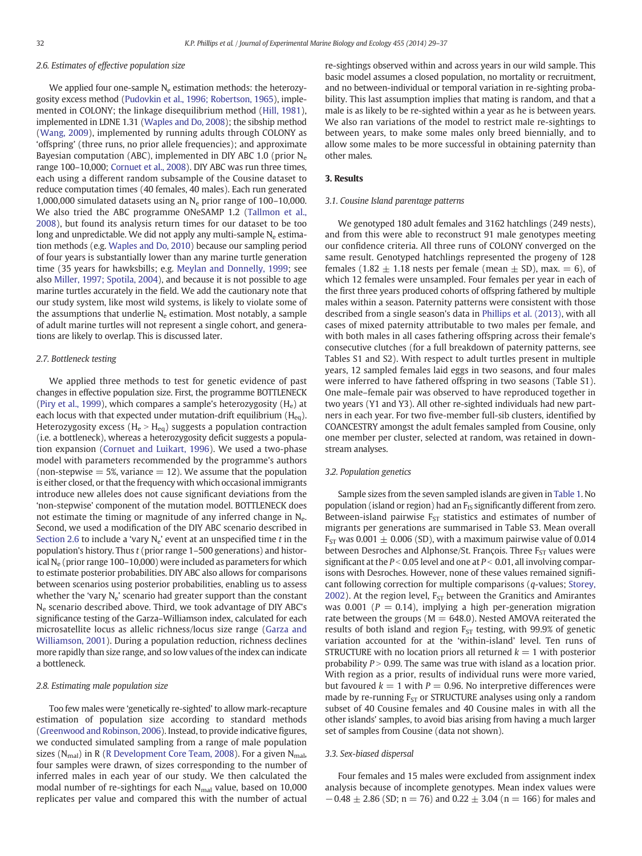# 2.6. Estimates of effective population size

We applied four one-sample  $N_e$  estimation methods: the heterozygosity excess method [\(Pudovkin et al., 1996; Robertson, 1965\)](#page-8-0), implemented in COLONY; the linkage disequilibrium method ([Hill, 1981](#page-7-0)), implemented in LDNE 1.31 ([Waples and Do, 2008\)](#page-8-0); the sibship method [\(Wang, 2009](#page-8-0)), implemented by running adults through COLONY as 'offspring' (three runs, no prior allele frequencies); and approximate Bayesian computation (ABC), implemented in DIY ABC 1.0 (prior Ne range 100–10,000; [Cornuet et al., 2008](#page-7-0)). DIY ABC was run three times, each using a different random subsample of the Cousine dataset to reduce computation times (40 females, 40 males). Each run generated 1,000,000 simulated datasets using an  $N_e$  prior range of 100-10,000. We also tried the ABC programme ONeSAMP 1.2 ([Tallmon et al.,](#page-8-0) [2008](#page-8-0)), but found its analysis return times for our dataset to be too long and unpredictable. We did not apply any multi-sample  $N_e$  estimation methods (e.g. [Waples and Do, 2010\)](#page-8-0) because our sampling period of four years is substantially lower than any marine turtle generation time (35 years for hawksbills; e.g. [Meylan and Donnelly, 1999](#page-8-0); see also [Miller, 1997; Spotila, 2004](#page-8-0)), and because it is not possible to age marine turtles accurately in the field. We add the cautionary note that our study system, like most wild systems, is likely to violate some of the assumptions that underlie  $N_e$  estimation. Most notably, a sample of adult marine turtles will not represent a single cohort, and generations are likely to overlap. This is discussed later.

# 2.7. Bottleneck testing

We applied three methods to test for genetic evidence of past changes in effective population size. First, the programme BOTTLENECK [\(Piry et al., 1999\)](#page-8-0), which compares a sample's heterozygosity (He) at each locus with that expected under mutation-drift equilibrium  $(H_{eq})$ . Heterozygosity excess ( $H_e > H_{eq}$ ) suggests a population contraction (i.e. a bottleneck), whereas a heterozygosity deficit suggests a population expansion ([Cornuet and Luikart, 1996](#page-7-0)). We used a two-phase model with parameters recommended by the programme's authors (non-stepwise  $= 5\%$ , variance  $= 12$ ). We assume that the population is either closed, or that the frequency with which occasional immigrants introduce new alleles does not cause significant deviations from the 'non-stepwise' component of the mutation model. BOTTLENECK does not estimate the timing or magnitude of any inferred change in N<sub>e</sub>. Second, we used a modification of the DIY ABC scenario described in Section 2.6 to include a 'vary  $N_e$ ' event at an unspecified time t in the population's history. Thus t (prior range 1–500 generations) and historical  $N_e$  (prior range 100–10,000) were included as parameters for which to estimate posterior probabilities. DIY ABC also allows for comparisons between scenarios using posterior probabilities, enabling us to assess whether the 'vary  $N_e$ ' scenario had greater support than the constant Ne scenario described above. Third, we took advantage of DIY ABC's significance testing of the Garza–Williamson index, calculated for each microsatellite locus as allelic richness/locus size range ([Garza and](#page-7-0) [Williamson, 2001](#page-7-0)). During a population reduction, richness declines more rapidly than size range, and so low values of the index can indicate a bottleneck.

#### 2.8. Estimating male population size

Too few males were 'genetically re-sighted' to allow mark-recapture estimation of population size according to standard methods [\(Greenwood and Robinson, 2006](#page-7-0)). Instead, to provide indicative figures, we conducted simulated sampling from a range of male population sizes ( $N_{\text{mal}}$ ) in R [\(R Development Core Team, 2008](#page-7-0)). For a given  $N_{\text{mal}}$ , four samples were drawn, of sizes corresponding to the number of inferred males in each year of our study. We then calculated the modal number of re-sightings for each N<sub>mal</sub> value, based on 10,000 replicates per value and compared this with the number of actual

re-sightings observed within and across years in our wild sample. This basic model assumes a closed population, no mortality or recruitment, and no between-individual or temporal variation in re-sighting probability. This last assumption implies that mating is random, and that a male is as likely to be re-sighted within a year as he is between years. We also ran variations of the model to restrict male re-sightings to between years, to make some males only breed biennially, and to allow some males to be more successful in obtaining paternity than other males.

#### 3. Results

#### 3.1. Cousine Island parentage patterns

We genotyped 180 adult females and 3162 hatchlings (249 nests), and from this were able to reconstruct 91 male genotypes meeting our confidence criteria. All three runs of COLONY converged on the same result. Genotyped hatchlings represented the progeny of 128 females (1.82  $\pm$  1.18 nests per female (mean  $\pm$  SD), max. = 6), of which 12 females were unsampled. Four females per year in each of the first three years produced cohorts of offspring fathered by multiple males within a season. Paternity patterns were consistent with those described from a single season's data in [Phillips et al. \(2013\)](#page-8-0), with all cases of mixed paternity attributable to two males per female, and with both males in all cases fathering offspring across their female's consecutive clutches (for a full breakdown of paternity patterns, see Tables S1 and S2). With respect to adult turtles present in multiple years, 12 sampled females laid eggs in two seasons, and four males were inferred to have fathered offspring in two seasons (Table S1). One male–female pair was observed to have reproduced together in two years (Y1 and Y3). All other re-sighted individuals had new partners in each year. For two five-member full-sib clusters, identified by COANCESTRY amongst the adult females sampled from Cousine, only one member per cluster, selected at random, was retained in downstream analyses.

#### 3.2. Population genetics

Sample sizes from the seven sampled islands are given in [Table 1](#page-4-0). No population (island or region) had an  $F_{1S}$  significantly different from zero. Between-island pairwise  $F_{ST}$  statistics and estimates of number of migrants per generations are summarised in Table S3. Mean overall  $F_{ST}$  was 0.001  $\pm$  0.006 (SD), with a maximum pairwise value of 0.014 between Desroches and Alphonse/St. François. Three  $F_{ST}$  values were significant at the  $P < 0.05$  level and one at  $P < 0.01$ , all involving comparisons with Desroches. However, none of these values remained significant following correction for multiple comparisons (q-values; [Storey,](#page-8-0) [2002](#page-8-0)). At the region level,  $F_{ST}$  between the Granitics and Amirantes was 0.001 ( $P = 0.14$ ), implying a high per-generation migration rate between the groups ( $M = 648.0$ ). Nested AMOVA reiterated the results of both island and region  $F_{ST}$  testing, with 99.9% of genetic variation accounted for at the 'within-island' level. Ten runs of STRUCTURE with no location priors all returned  $k = 1$  with posterior probability  $P > 0.99$ . The same was true with island as a location prior. With region as a prior, results of individual runs were more varied, but favoured  $k = 1$  with  $P = 0.96$ . No interpretive differences were made by re-running  $F_{ST}$  or STRUCTURE analyses using only a random subset of 40 Cousine females and 40 Cousine males in with all the other islands' samples, to avoid bias arising from having a much larger set of samples from Cousine (data not shown).

# 3.3. Sex-biased dispersal

Four females and 15 males were excluded from assignment index analysis because of incomplete genotypes. Mean index values were  $-0.48 \pm 2.86$  (SD; n = 76) and 0.22  $\pm$  3.04 (n = 166) for males and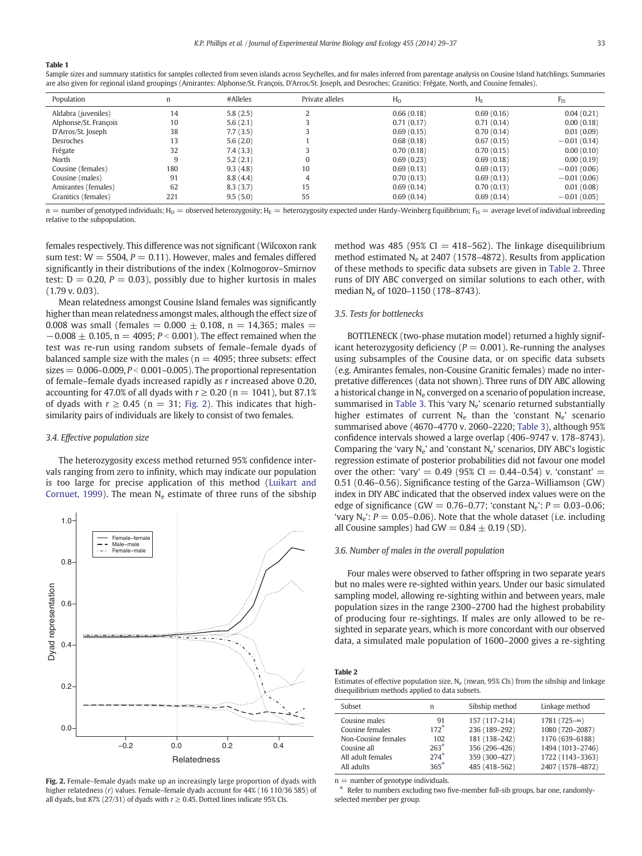#### <span id="page-4-0"></span>Table 1

Sample sizes and summary statistics for samples collected from seven islands across Seychelles, and for males inferred from parentage analysis on Cousine Island hatchlings. Summaries are also given for regional island groupings (Amirantes: Alphonse/St. François, D'Arros/St. Joseph, and Desroches; Granitics: Frégate, North, and Cousine females).

| Population            | n   | #Alleles | Private alleles | H <sub>o</sub> | $H_{E}$    | F <sub>IS</sub> |
|-----------------------|-----|----------|-----------------|----------------|------------|-----------------|
| Aldabra (juveniles)   | 14  | 5.8(2.5) |                 | 0.66(0.18)     | 0.69(0.16) | 0.04(0.21)      |
| Alphonse/St. François | 10  | 5.6(2.1) |                 | 0.71(0.17)     | 0.71(0.14) | 0.00(0.18)      |
| D'Arros/St. Joseph    | 38  | 7.7(3.5) |                 | 0.69(0.15)     | 0.70(0.14) | 0.01(0.09)      |
| Desroches             | 13  | 5.6(2.0) |                 | 0.68(0.18)     | 0.67(0.15) | $-0.01(0.14)$   |
| Frégate               | 32  | 7.4(3.3) |                 | 0.70(0.18)     | 0.70(0.15) | 0.00(0.10)      |
| North                 |     | 5.2(2.1) | 0               | 0.69(0.23)     | 0.69(0.18) | 0.00(0.19)      |
| Cousine (females)     | 180 | 9.3(4.8) | 10              | 0.69(0.13)     | 0.69(0.13) | $-0.01(0.06)$   |
| Cousine (males)       | 91  | 8.8(4.4) | 4               | 0.70(0.13)     | 0.69(0.13) | $-0.01(0.06)$   |
| Amirantes (females)   | 62  | 8.3(3.7) | 15              | 0.69(0.14)     | 0.70(0.13) | 0.01(0.08)      |
| Granitics (females)   | 221 | 9.5(5.0) | 55              | 0.69(0.14)     | 0.69(0.14) | $-0.01(0.05)$   |

 $n =$  number of genotyped individuals; H<sub>O</sub> = observed heterozygosity; H<sub>E</sub> = heterozygosity expected under Hardy–Weinberg Equilibrium; F<sub>IS</sub> = average level of individual inbreeding relative to the subpopulation.

females respectively. This difference was not significant (Wilcoxon rank sum test:  $W = 5504$ ,  $P = 0.11$ ). However, males and females differed significantly in their distributions of the index (Kolmogorov–Smirnov test:  $D = 0.20$ ,  $P = 0.03$ ), possibly due to higher kurtosis in males (1.79 v. 0.03).

Mean relatedness amongst Cousine Island females was significantly higher than mean relatedness amongst males, although the effect size of 0.008 was small (females =  $0.000 \pm 0.108$ , n = 14,365; males =  $-0.008 \pm 0.105$ , n = 4095; P < 0.001). The effect remained when the test was re-run using random subsets of female–female dyads of balanced sample size with the males ( $n = 4095$ ; three subsets: effect sizes  $= 0.006$ –0.009,  $P < 0.001$ –0.005). The proportional representation of female–female dyads increased rapidly as r increased above 0.20, accounting for 47.0% of all dyads with  $r \ge 0.20$  (n = 1041), but 87.1% of dyads with  $r \geq 0.45$  (n = 31; Fig. 2). This indicates that highsimilarity pairs of individuals are likely to consist of two females.

#### 3.4. Effective population size

The heterozygosity excess method returned 95% confidence intervals ranging from zero to infinity, which may indicate our population is too large for precise application of this method ([Luikart and](#page-8-0) [Cornuet, 1999](#page-8-0)). The mean  $N_e$  estimate of three runs of the sibship



Fig. 2. Female–female dyads make up an increasingly large proportion of dyads with higher relatedness (r) values. Female–female dyads account for 44% (16 110/36 585) of all dyads, but 87% (27/31) of dyads with  $r \ge 0.45$ . Dotted lines indicate 95% CIs.

method was 485 (95% CI  $=$  418–562). The linkage disequilibrium method estimated N<sub>e</sub> at 2407 (1578–4872). Results from application of these methods to specific data subsets are given in Table 2. Three runs of DIY ABC converged on similar solutions to each other, with median Ne of 1020–1150 (178–8743).

#### 3.5. Tests for bottlenecks

BOTTLENECK (two-phase mutation model) returned a highly significant heterozygosity deficiency ( $P = 0.001$ ). Re-running the analyses using subsamples of the Cousine data, or on specific data subsets (e.g. Amirantes females, non-Cousine Granitic females) made no interpretative differences (data not shown). Three runs of DIY ABC allowing a historical change in  $N_e$  converged on a scenario of population increase, summarised in [Table 3.](#page-5-0) This 'vary  $N_e$ ' scenario returned substantially higher estimates of current  $N_e$  than the 'constant  $N_e$ ' scenario summarised above (4670–4770 v. 2060–2220; [Table 3](#page-5-0)), although 95% confidence intervals showed a large overlap (406–9747 v. 178–8743). Comparing the 'vary  $N_e$ ' and 'constant  $N_e$ ' scenarios, DIY ABC's logistic regression estimate of posterior probabilities did not favour one model over the other: 'vary' =  $0.49$  (95% CI =  $0.44-0.54$ ) v. 'constant' = 0.51 (0.46–0.56). Significance testing of the Garza–Williamson (GW) index in DIY ABC indicated that the observed index values were on the edge of significance (GW =  $0.76-0.77$ ; 'constant N<sub>e</sub>':  $P = 0.03-0.06$ ; 'vary  $N_e$ ':  $P = 0.05-0.06$ ). Note that the whole dataset (i.e. including all Cousine samples) had  $GW = 0.84 \pm 0.19$  (SD).

# 3.6. Number of males in the overall population

Four males were observed to father offspring in two separate years but no males were re-sighted within years. Under our basic simulated sampling model, allowing re-sighting within and between years, male population sizes in the range 2300–2700 had the highest probability of producing four re-sightings. If males are only allowed to be resighted in separate years, which is more concordant with our observed data, a simulated male population of 1600–2000 gives a re-sighting

#### Table 2

Estimates of effective population size,  $N_e$  (mean, 95% CIs) from the sibship and linkage disequilibrium methods applied to data subsets.

| Subset              | n      | Sibship method | Linkage method     |
|---------------------|--------|----------------|--------------------|
| Cousine males       | 91     | 157 (117-214)  | $1781(725-\infty)$ |
| Cousine females     | $172*$ | 236 (189-292)  | 1080 (720-2087)    |
| Non-Cousine females | 102    | 181 (138-242)  | 1176 (639-6188)    |
| Cousine all         | $263*$ | 356 (296-426)  | 1494 (1013-2746)   |
| All adult females   | $274*$ | 359 (300-427)  | 1722 (1143-3363)   |
| All adults          | $365*$ | 485 (418-562)  | 2407 (1578-4872)   |

 $n =$  number of genotype individuals.

Refer to numbers excluding two five-member full-sib groups, bar one, randomlyselected member per group.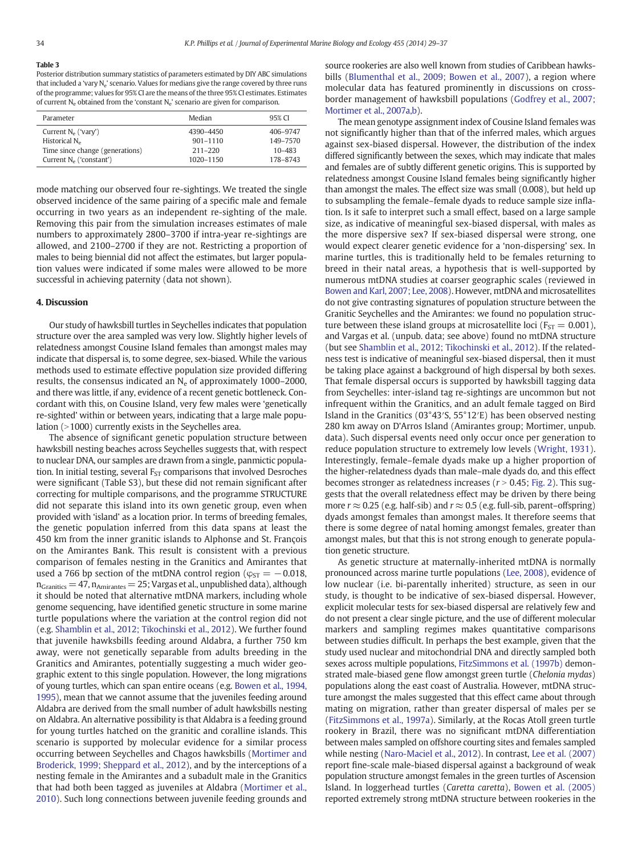#### <span id="page-5-0"></span>Table 3

Posterior distribution summary statistics of parameters estimated by DIY ABC simulations that included a 'vary N<sub>e</sub>' scenario. Values for medians give the range covered by three runs of the programme; values for 95% CI are the means of the three 95% CI estimates. Estimates of current N<sub>e</sub> obtained from the 'constant N<sub>e</sub>' scenario are given for comparison.

| Parameter                       | Median       | 95% CI   |
|---------------------------------|--------------|----------|
| Current $N_e$ ('vary')          | 4390-4450    | 406-9747 |
| Historical N <sub>e</sub>       | $901 - 1110$ | 149-7570 |
| Time since change (generations) | $211 - 220$  | 10-483   |
| Current $N_e$ ('constant')      | 1020-1150    | 178-8743 |

mode matching our observed four re-sightings. We treated the single observed incidence of the same pairing of a specific male and female occurring in two years as an independent re-sighting of the male. Removing this pair from the simulation increases estimates of male numbers to approximately 2800–3700 if intra-year re-sightings are allowed, and 2100–2700 if they are not. Restricting a proportion of males to being biennial did not affect the estimates, but larger population values were indicated if some males were allowed to be more successful in achieving paternity (data not shown).

#### 4. Discussion

Our study of hawksbill turtles in Seychelles indicates that population structure over the area sampled was very low. Slightly higher levels of relatedness amongst Cousine Island females than amongst males may indicate that dispersal is, to some degree, sex-biased. While the various methods used to estimate effective population size provided differing results, the consensus indicated an  $N_e$  of approximately 1000–2000, and there was little, if any, evidence of a recent genetic bottleneck. Concordant with this, on Cousine Island, very few males were 'genetically re-sighted' within or between years, indicating that a large male population  $(>1000)$  currently exists in the Seychelles area.

The absence of significant genetic population structure between hawksbill nesting beaches across Seychelles suggests that, with respect to nuclear DNA, our samples are drawn from a single, panmictic population. In initial testing, several  $F<sub>ST</sub>$  comparisons that involved Desroches were significant (Table S3), but these did not remain significant after correcting for multiple comparisons, and the programme STRUCTURE did not separate this island into its own genetic group, even when provided with 'island' as a location prior. In terms of breeding females, the genetic population inferred from this data spans at least the 450 km from the inner granitic islands to Alphonse and St. François on the Amirantes Bank. This result is consistent with a previous comparison of females nesting in the Granitics and Amirantes that used a 766 bp section of the mtDNA control region ( $\varphi_{ST} = -0.018$ ,  $n_{Granities} = 47$ ,  $n_{Amirantes} = 25$ ; Vargas et al., unpublished data), although it should be noted that alternative mtDNA markers, including whole genome sequencing, have identified genetic structure in some marine turtle populations where the variation at the control region did not (e.g. [Shamblin et al., 2012; Tikochinski et al., 2012](#page-8-0)). We further found that juvenile hawksbills feeding around Aldabra, a further 750 km away, were not genetically separable from adults breeding in the Granitics and Amirantes, potentially suggesting a much wider geographic extent to this single population. However, the long migrations of young turtles, which can span entire oceans (e.g. [Bowen et al., 1994,](#page-7-0) [1995\)](#page-7-0), mean that we cannot assume that the juveniles feeding around Aldabra are derived from the small number of adult hawksbills nesting on Aldabra. An alternative possibility is that Aldabra is a feeding ground for young turtles hatched on the granitic and coralline islands. This scenario is supported by molecular evidence for a similar process occurring between Seychelles and Chagos hawksbills ([Mortimer and](#page-8-0) [Broderick, 1999; Sheppard et al., 2012\)](#page-8-0), and by the interceptions of a nesting female in the Amirantes and a subadult male in the Granitics that had both been tagged as juveniles at Aldabra ([Mortimer et al.,](#page-8-0) [2010](#page-8-0)). Such long connections between juvenile feeding grounds and source rookeries are also well known from studies of Caribbean hawksbills ([Blumenthal et al., 2009; Bowen et al., 2007](#page-7-0)), a region where molecular data has featured prominently in discussions on crossborder management of hawksbill populations [\(Godfrey et al., 2007;](#page-7-0) [Mortimer et al., 2007a,b\)](#page-7-0).

The mean genotype assignment index of Cousine Island females was not significantly higher than that of the inferred males, which argues against sex-biased dispersal. However, the distribution of the index differed significantly between the sexes, which may indicate that males and females are of subtly different genetic origins. This is supported by relatedness amongst Cousine Island females being significantly higher than amongst the males. The effect size was small (0.008), but held up to subsampling the female–female dyads to reduce sample size inflation. Is it safe to interpret such a small effect, based on a large sample size, as indicative of meaningful sex-biased dispersal, with males as the more dispersive sex? If sex-biased dispersal were strong, one would expect clearer genetic evidence for a 'non-dispersing' sex. In marine turtles, this is traditionally held to be females returning to breed in their natal areas, a hypothesis that is well-supported by numerous mtDNA studies at coarser geographic scales (reviewed in [Bowen and Karl, 2007; Lee, 2008\)](#page-7-0). However, mtDNA and microsatellites do not give contrasting signatures of population structure between the Granitic Seychelles and the Amirantes: we found no population structure between these island groups at microsatellite loci ( $F_{ST} = 0.001$ ), and Vargas et al. (unpub. data; see above) found no mtDNA structure (but see [Shamblin et al., 2012; Tikochinski et al., 2012\)](#page-8-0). If the relatedness test is indicative of meaningful sex-biased dispersal, then it must be taking place against a background of high dispersal by both sexes. That female dispersal occurs is supported by hawksbill tagging data from Seychelles: inter-island tag re-sightings are uncommon but not infrequent within the Granitics, and an adult female tagged on Bird Island in the Granitics (03°43′S, 55°12′E) has been observed nesting 280 km away on D'Arros Island (Amirantes group; Mortimer, unpub. data). Such dispersal events need only occur once per generation to reduce population structure to extremely low levels ([Wright, 1931](#page-8-0)). Interestingly, female–female dyads make up a higher proportion of the higher-relatedness dyads than male–male dyads do, and this effect becomes stronger as relatedness increases ( $r > 0.45$ ; [Fig. 2](#page-4-0)). This suggests that the overall relatedness effect may be driven by there being more  $r \approx 0.25$  (e.g. half-sib) and  $r \approx 0.5$  (e.g. full-sib, parent–offspring) dyads amongst females than amongst males. It therefore seems that there is some degree of natal homing amongst females, greater than amongst males, but that this is not strong enough to generate population genetic structure.

As genetic structure at maternally-inherited mtDNA is normally pronounced across marine turtle populations [\(Lee, 2008](#page-7-0)), evidence of low nuclear (i.e. bi-parentally inherited) structure, as seen in our study, is thought to be indicative of sex-biased dispersal. However, explicit molecular tests for sex-biased dispersal are relatively few and do not present a clear single picture, and the use of different molecular markers and sampling regimes makes quantitative comparisons between studies difficult. In perhaps the best example, given that the study used nuclear and mitochondrial DNA and directly sampled both sexes across multiple populations, [FitzSimmons et al. \(1997b\)](#page-7-0) demonstrated male-biased gene flow amongst green turtle (Chelonia mydas) populations along the east coast of Australia. However, mtDNA structure amongst the males suggested that this effect came about through mating on migration, rather than greater dispersal of males per se [\(FitzSimmons et al., 1997a\)](#page-7-0). Similarly, at the Rocas Atoll green turtle rookery in Brazil, there was no significant mtDNA differentiation between males sampled on offshore courting sites and females sampled while nesting ([Naro-Maciel et al., 2012](#page-8-0)). In contrast, [Lee et al. \(2007\)](#page-7-0) report fine-scale male-biased dispersal against a background of weak population structure amongst females in the green turtles of Ascension Island. In loggerhead turtles (Caretta caretta), [Bowen et al. \(2005\)](#page-7-0) reported extremely strong mtDNA structure between rookeries in the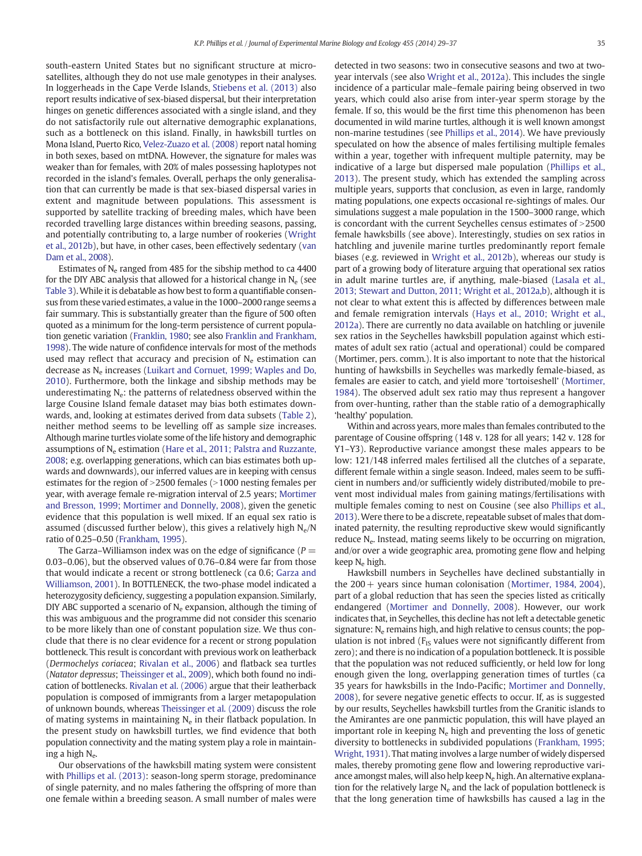south-eastern United States but no significant structure at microsatellites, although they do not use male genotypes in their analyses. In loggerheads in the Cape Verde Islands, [Stiebens et al. \(2013\)](#page-8-0) also report results indicative of sex-biased dispersal, but their interpretation hinges on genetic differences associated with a single island, and they do not satisfactorily rule out alternative demographic explanations, such as a bottleneck on this island. Finally, in hawksbill turtles on Mona Island, Puerto Rico, [Velez-Zuazo et al. \(2008\)](#page-8-0) report natal homing in both sexes, based on mtDNA. However, the signature for males was weaker than for females, with 20% of males possessing haplotypes not recorded in the island's females. Overall, perhaps the only generalisation that can currently be made is that sex-biased dispersal varies in extent and magnitude between populations. This assessment is supported by satellite tracking of breeding males, which have been recorded travelling large distances within breeding seasons, passing, and potentially contributing to, a large number of rookeries ([Wright](#page-8-0) [et al., 2012b\)](#page-8-0), but have, in other cases, been effectively sedentary ([van](#page-8-0) [Dam et al., 2008\)](#page-8-0).

Estimates of  $N_e$  ranged from 485 for the sibship method to ca 4400 for the DIY ABC analysis that allowed for a historical change in  $N_e$  (see [Table 3](#page-5-0)). While it is debatable as how best to form a quantifiable consensus from these varied estimates, a value in the 1000–2000 range seems a fair summary. This is substantially greater than the figure of 500 often quoted as a minimum for the long-term persistence of current population genetic variation ([Franklin, 1980;](#page-7-0) see also [Franklin and Frankham,](#page-7-0) [1998](#page-7-0)). The wide nature of confidence intervals for most of the methods used may reflect that accuracy and precision of  $N_e$  estimation can decrease as N<sub>e</sub> increases ([Luikart and Cornuet, 1999; Waples and Do,](#page-8-0) [2010\)](#page-8-0). Furthermore, both the linkage and sibship methods may be underestimating  $N_e$ : the patterns of relatedness observed within the large Cousine Island female dataset may bias both estimates downwards, and, looking at estimates derived from data subsets [\(Table 2](#page-4-0)), neither method seems to be levelling off as sample size increases. Although marine turtles violate some of the life history and demographic assumptions of N<sub>e</sub> estimation ([Hare et al., 2011; Palstra and Ruzzante,](#page-7-0) [2008;](#page-7-0) e.g. overlapping generations, which can bias estimates both upwards and downwards), our inferred values are in keeping with census estimates for the region of  $>$  2500 females ( $>$  1000 nesting females per year, with average female re-migration interval of 2.5 years; [Mortimer](#page-8-0) [and Bresson, 1999; Mortimer and Donnelly, 2008](#page-8-0)), given the genetic evidence that this population is well mixed. If an equal sex ratio is assumed (discussed further below), this gives a relatively high  $N_e/N$ ratio of 0.25–0.50 ([Frankham, 1995](#page-7-0)).

The Garza–Williamson index was on the edge of significance ( $P =$ 0.03–0.06), but the observed values of 0.76–0.84 were far from those that would indicate a recent or strong bottleneck (ca 0.6; [Garza and](#page-7-0) [Williamson, 2001](#page-7-0)). In BOTTLENECK, the two-phase model indicated a heterozygosity deficiency, suggesting a population expansion. Similarly, DIY ABC supported a scenario of  $N_e$  expansion, although the timing of this was ambiguous and the programme did not consider this scenario to be more likely than one of constant population size. We thus conclude that there is no clear evidence for a recent or strong population bottleneck. This result is concordant with previous work on leatherback (Dermochelys coriacea; [Rivalan et al., 2006](#page-8-0)) and flatback sea turtles (Natator depressus; [Theissinger et al., 2009\)](#page-8-0), which both found no indication of bottlenecks. [Rivalan et al. \(2006\)](#page-8-0) argue that their leatherback population is composed of immigrants from a larger metapopulation of unknown bounds, whereas [Theissinger et al. \(2009\)](#page-8-0) discuss the role of mating systems in maintaining  $N_e$  in their flatback population. In the present study on hawksbill turtles, we find evidence that both population connectivity and the mating system play a role in maintaining a high  $N_e$ .

Our observations of the hawksbill mating system were consistent with [Phillips et al. \(2013\)](#page-8-0): season-long sperm storage, predominance of single paternity, and no males fathering the offspring of more than one female within a breeding season. A small number of males were detected in two seasons: two in consecutive seasons and two at twoyear intervals (see also [Wright et al., 2012a\)](#page-8-0). This includes the single incidence of a particular male–female pairing being observed in two years, which could also arise from inter-year sperm storage by the female. If so, this would be the first time this phenomenon has been documented in wild marine turtles, although it is well known amongst non-marine testudines (see [Phillips et al., 2014\)](#page-8-0). We have previously speculated on how the absence of males fertilising multiple females within a year, together with infrequent multiple paternity, may be indicative of a large but dispersed male population ([Phillips et al.,](#page-8-0) [2013\)](#page-8-0). The present study, which has extended the sampling across multiple years, supports that conclusion, as even in large, randomly mating populations, one expects occasional re-sightings of males. Our simulations suggest a male population in the 1500–3000 range, which is concordant with the current Seychelles census estimates of  $>$  2500 female hawksbills (see above). Interestingly, studies on sex ratios in hatchling and juvenile marine turtles predominantly report female biases (e.g. reviewed in [Wright et al., 2012b\)](#page-8-0), whereas our study is part of a growing body of literature arguing that operational sex ratios in adult marine turtles are, if anything, male-biased [\(Lasala et al.,](#page-7-0) [2013; Stewart and Dutton, 2011; Wright et al., 2012a,b](#page-7-0)), although it is not clear to what extent this is affected by differences between male and female remigration intervals ([Hays et al., 2010; Wright et al.,](#page-7-0) [2012a\)](#page-7-0). There are currently no data available on hatchling or juvenile sex ratios in the Seychelles hawksbill population against which estimates of adult sex ratio (actual and operational) could be compared (Mortimer, pers. comm.). It is also important to note that the historical hunting of hawksbills in Seychelles was markedly female-biased, as females are easier to catch, and yield more 'tortoiseshell' ([Mortimer,](#page-8-0) [1984\)](#page-8-0). The observed adult sex ratio may thus represent a hangover from over-hunting, rather than the stable ratio of a demographically 'healthy' population.

Within and across years, more males than females contributed to the parentage of Cousine offspring (148 v. 128 for all years; 142 v. 128 for Y1–Y3). Reproductive variance amongst these males appears to be low: 121/148 inferred males fertilised all the clutches of a separate, different female within a single season. Indeed, males seem to be sufficient in numbers and/or sufficiently widely distributed/mobile to prevent most individual males from gaining matings/fertilisations with multiple females coming to nest on Cousine (see also [Phillips et al.,](#page-8-0) [2013](#page-8-0)). Were there to be a discrete, repeatable subset of males that dominated paternity, the resulting reproductive skew would significantly reduce  $N_e$ . Instead, mating seems likely to be occurring on migration, and/or over a wide geographic area, promoting gene flow and helping keep Ne high.

Hawksbill numbers in Seychelles have declined substantially in the  $200 +$  years since human colonisation [\(Mortimer, 1984, 2004](#page-8-0)), part of a global reduction that has seen the species listed as critically endangered ([Mortimer and Donnelly, 2008\)](#page-8-0). However, our work indicates that, in Seychelles, this decline has not left a detectable genetic signature:  $N_e$  remains high, and high relative to census counts; the population is not inbred ( $F_{IS}$  values were not significantly different from zero); and there is no indication of a population bottleneck. It is possible that the population was not reduced sufficiently, or held low for long enough given the long, overlapping generation times of turtles (ca 35 years for hawksbills in the Indo-Pacific; [Mortimer and Donnelly,](#page-8-0) [2008\)](#page-8-0), for severe negative genetic effects to occur. If, as is suggested by our results, Seychelles hawksbill turtles from the Granitic islands to the Amirantes are one panmictic population, this will have played an important role in keeping  $N_e$  high and preventing the loss of genetic diversity to bottlenecks in subdivided populations ([Frankham, 1995;](#page-7-0) [Wright, 1931\)](#page-7-0). That mating involves a large number of widely dispersed males, thereby promoting gene flow and lowering reproductive variance amongst males, will also help keep  $N_e$  high. An alternative explanation for the relatively large  $N_e$  and the lack of population bottleneck is that the long generation time of hawksbills has caused a lag in the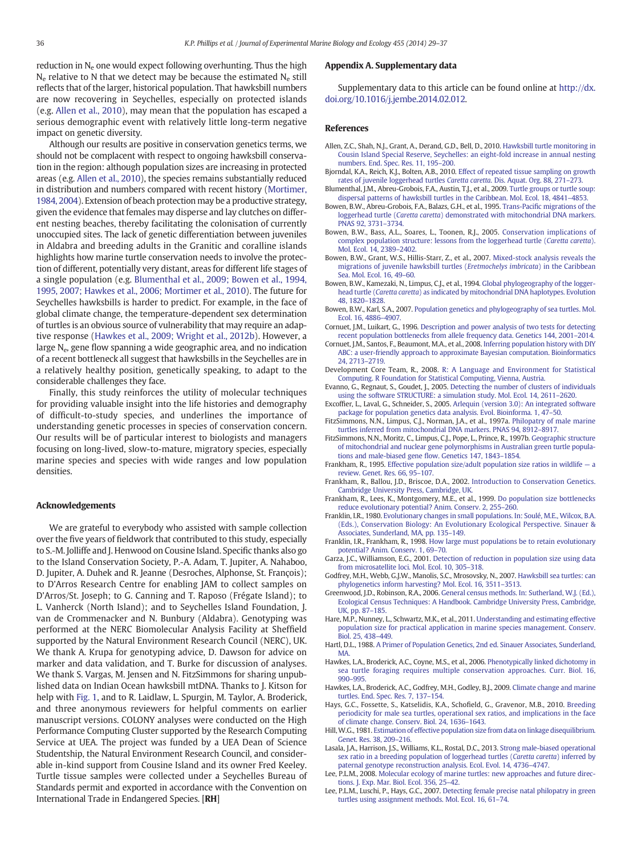<span id="page-7-0"></span>reduction in  $N_e$  one would expect following overhunting. Thus the high  $N_e$  relative to N that we detect may be because the estimated  $N_e$  still reflects that of the larger, historical population. That hawksbill numbers are now recovering in Seychelles, especially on protected islands (e.g. Allen et al., 2010), may mean that the population has escaped a serious demographic event with relatively little long-term negative impact on genetic diversity.

Although our results are positive in conservation genetics terms, we should not be complacent with respect to ongoing hawksbill conservation in the region: although population sizes are increasing in protected areas (e.g. Allen et al., 2010), the species remains substantially reduced in distribution and numbers compared with recent history ([Mortimer,](#page-8-0) [1984, 2004](#page-8-0)). Extension of beach protection may be a productive strategy, given the evidence that females may disperse and lay clutches on different nesting beaches, thereby facilitating the colonisation of currently unoccupied sites. The lack of genetic differentiation between juveniles in Aldabra and breeding adults in the Granitic and coralline islands highlights how marine turtle conservation needs to involve the protection of different, potentially very distant, areas for different life stages of a single population (e.g. Blumenthal et al., 2009; Bowen et al., 1994, 1995, 2007; Hawkes et al., 2006; Mortimer et al., 2010). The future for Seychelles hawksbills is harder to predict. For example, in the face of global climate change, the temperature-dependent sex determination of turtles is an obvious source of vulnerability that may require an adaptive response (Hawkes et al., 2009; Wright et al., 2012b). However, a large  $N_e$ , gene flow spanning a wide geographic area, and no indication of a recent bottleneck all suggest that hawksbills in the Seychelles are in a relatively healthy position, genetically speaking, to adapt to the considerable challenges they face.

Finally, this study reinforces the utility of molecular techniques for providing valuable insight into the life histories and demography of difficult-to-study species, and underlines the importance of understanding genetic processes in species of conservation concern. Our results will be of particular interest to biologists and managers focusing on long-lived, slow-to-mature, migratory species, especially marine species and species with wide ranges and low population densities.

#### Acknowledgements

We are grateful to everybody who assisted with sample collection over the five years of fieldwork that contributed to this study, especially to S.-M. Jolliffe and J. Henwood on Cousine Island. Specific thanks also go to the Island Conservation Society, P.-A. Adam, T. Jupiter, A. Nahaboo, D. Jupiter, A. Duhek and R. Jeanne (Desroches, Alphonse, St. François); to D'Arros Research Centre for enabling JAM to collect samples on D'Arros/St. Joseph; to G. Canning and T. Raposo (Frégate Island); to L. Vanherck (North Island); and to Seychelles Island Foundation, J. van de Crommenacker and N. Bunbury (Aldabra). Genotyping was performed at the NERC Biomolecular Analysis Facility at Sheffield supported by the Natural Environment Research Council (NERC), UK. We thank A. Krupa for genotyping advice, D. Dawson for advice on marker and data validation, and T. Burke for discussion of analyses. We thank S. Vargas, M. Jensen and N. FitzSimmons for sharing unpublished data on Indian Ocean hawksbill mtDNA. Thanks to J. Kitson for help with [Fig. 1](#page-2-0), and to R. Laidlaw, L. Spurgin, M. Taylor, A. Broderick, and three anonymous reviewers for helpful comments on earlier manuscript versions. COLONY analyses were conducted on the High Performance Computing Cluster supported by the Research Computing Service at UEA. The project was funded by a UEA Dean of Science Studentship, the Natural Environment Research Council, and considerable in-kind support from Cousine Island and its owner Fred Keeley. Turtle tissue samples were collected under a Seychelles Bureau of Standards permit and exported in accordance with the Convention on International Trade in Endangered Species. [RH]

#### Appendix A. Supplementary data

Supplementary data to this article can be found online at [http://dx.](http://dx.doi.org/10.1016/j.jembe.2014.02.012) [doi.org/10.1016/j.jembe.2014.02.012.](http://dx.doi.org/10.1016/j.jembe.2014.02.012)

#### References

- Allen, Z.C., Shah, N.J., Grant, A., Derand, G.D., Bell, D., 2010. [Hawksbill turtle monitoring in](http://refhub.elsevier.com/S0022-0981(14)00047-1/rf0005) [Cousin Island Special Reserve, Seychelles: an eight-fold increase in annual nesting](http://refhub.elsevier.com/S0022-0981(14)00047-1/rf0005) [numbers. End. Spec. Res. 11, 195](http://refhub.elsevier.com/S0022-0981(14)00047-1/rf0005)–200.
- Bjorndal, K.A., Reich, K.J., Bolten, A.B., 2010. [Effect of repeated tissue sampling on growth](http://refhub.elsevier.com/S0022-0981(14)00047-1/rf0010) [rates of juvenile loggerhead turtles](http://refhub.elsevier.com/S0022-0981(14)00047-1/rf0010) Caretta caretta. Dis. Aquat. Org. 88, 271–273.
- Blumenthal, J.M., Abreu-Grobois, F.A., Austin, T.J., et al., 2009. [Turtle groups or turtle soup:](http://refhub.elsevier.com/S0022-0981(14)00047-1/rf0015) [dispersal patterns of hawksbill turtles in the Caribbean. Mol. Ecol. 18, 4841](http://refhub.elsevier.com/S0022-0981(14)00047-1/rf0015)–4853. Bowen, B.W., Abreu-Grobois, F.A., Balazs, G.H., et al., 1995. Trans-Pacifi[c migrations of the](http://refhub.elsevier.com/S0022-0981(14)00047-1/rf0020)
- loggerhead turtle (Caretta caretta[\) demonstrated with mitochondrial DNA markers.](http://refhub.elsevier.com/S0022-0981(14)00047-1/rf0020) [PNAS 92, 3731](http://refhub.elsevier.com/S0022-0981(14)00047-1/rf0020)–3734.
- Bowen, B.W., Bass, A.L., Soares, L., Toonen, R.J., 2005. [Conservation implications of](http://refhub.elsevier.com/S0022-0981(14)00047-1/rf0025) [complex population structure: lessons from the loggerhead turtle \(](http://refhub.elsevier.com/S0022-0981(14)00047-1/rf0025)Caretta caretta). [Mol. Ecol. 14, 2389](http://refhub.elsevier.com/S0022-0981(14)00047-1/rf0025)–2402.
- Bowen, B.W., Grant, W.S., Hillis-Starr, Z., et al., 2007. [Mixed-stock analysis reveals the](http://refhub.elsevier.com/S0022-0981(14)00047-1/rf0030) [migrations of juvenile hawksbill turtles \(](http://refhub.elsevier.com/S0022-0981(14)00047-1/rf0030)Eretmochelys imbricata) in the Caribbean [Sea. Mol. Ecol. 16, 49](http://refhub.elsevier.com/S0022-0981(14)00047-1/rf0030)–60.
- Bowen, B.W., Kamezaki, N., Limpus, C.J., et al., 1994. [Global phylogeography of the logger](http://refhub.elsevier.com/S0022-0981(14)00047-1/rf0035)head turtle (Caretta caretta[\) as indicated by mitochondrial DNA haplotypes. Evolution](http://refhub.elsevier.com/S0022-0981(14)00047-1/rf0035) [48, 1820](http://refhub.elsevier.com/S0022-0981(14)00047-1/rf0035)–1828.
- Bowen, B.W., Karl, S.A., 2007. [Population genetics and phylogeography of sea turtles. Mol.](http://refhub.elsevier.com/S0022-0981(14)00047-1/rf0040) [Ecol. 16, 4886](http://refhub.elsevier.com/S0022-0981(14)00047-1/rf0040)–4907.
- Cornuet, J.M., Luikart, G., 1996. [Description and power analysis of two tests for detecting](http://refhub.elsevier.com/S0022-0981(14)00047-1/rf0045) [recent population bottlenecks from allele frequency data. Genetics 144, 2001](http://refhub.elsevier.com/S0022-0981(14)00047-1/rf0045)–2014.
- Cornuet, J.M., Santos, F., Beaumont, M.A., et al., 2008. [Inferring population history with DIY](http://refhub.elsevier.com/S0022-0981(14)00047-1/rf0050) [ABC: a user-friendly approach to approximate Bayesian computation. Bioinformatics](http://refhub.elsevier.com/S0022-0981(14)00047-1/rf0050) [24, 2713](http://refhub.elsevier.com/S0022-0981(14)00047-1/rf0050)–2719.
- Development Core Team, R., 2008. [R: A Language and Environment for Statistical](http://refhub.elsevier.com/S0022-0981(14)00047-1/rf0265) [Computing. R Foundation for Statistical Computing, Vienna, Austria.](http://refhub.elsevier.com/S0022-0981(14)00047-1/rf0265)
- Evanno, G., Regnaut, S., Goudet, J., 2005. [Detecting the number of clusters of individuals](http://refhub.elsevier.com/S0022-0981(14)00047-1/rf0055) [using the software STRUCTURE: a simulation study. Mol. Ecol. 14, 2611](http://refhub.elsevier.com/S0022-0981(14)00047-1/rf0055)–2620.
- Excoffier, L., Laval, G., Schneider, S., 2005. [Arlequin \(version 3.0\): An integrated software](http://refhub.elsevier.com/S0022-0981(14)00047-1/rf0060) [package for population genetics data analysis. Evol. Bioinforma. 1, 47](http://refhub.elsevier.com/S0022-0981(14)00047-1/rf0060)–50.
- FitzSimmons, N.N., Limpus, C.J., Norman, J.A., et al., 1997a. [Philopatry of male marine](http://refhub.elsevier.com/S0022-0981(14)00047-1/rf0065) [turtles inferred from mitochondrial DNA markers. PNAS 94, 8912](http://refhub.elsevier.com/S0022-0981(14)00047-1/rf0065)–8917.
- FitzSimmons, N.N., Moritz, C., Limpus, C.J., Pope, L., Prince, R., 1997b. [Geographic structure](http://refhub.elsevier.com/S0022-0981(14)00047-1/rf0070) [of mitochondrial and nuclear gene polymorphisms in Australian green turtle popula](http://refhub.elsevier.com/S0022-0981(14)00047-1/rf0070)[tions and male-biased gene](http://refhub.elsevier.com/S0022-0981(14)00047-1/rf0070) flow. Genetics 147, 1843–1854.
- Frankham, R., 1995. [Effective population size/adult population size ratios in wildlife](http://refhub.elsevier.com/S0022-0981(14)00047-1/rf0075) a [review. Genet. Res. 66, 95](http://refhub.elsevier.com/S0022-0981(14)00047-1/rf0075)–107.
- Frankham, R., Ballou, J.D., Briscoe, D.A., 2002. [Introduction to Conservation Genetics.](http://refhub.elsevier.com/S0022-0981(14)00047-1/rf0080) [Cambridge University Press, Cambridge, UK](http://refhub.elsevier.com/S0022-0981(14)00047-1/rf0080).
- Frankham, R., Lees, K., Montgomery, M.E., et al., 1999. [Do population size bottlenecks](http://refhub.elsevier.com/S0022-0981(14)00047-1/rf0085) [reduce evolutionary potential? Anim. Conserv. 2, 255](http://refhub.elsevier.com/S0022-0981(14)00047-1/rf0085)–260.
- Franklin, I.R., 1980. [Evolutionary changes in small populations. In: Soulé, M.E., Wilcox, B.A.](http://refhub.elsevier.com/S0022-0981(14)00047-1/rf0090) [\(Eds.\), Conservation Biology: An Evolutionary Ecological Perspective. Sinauer &](http://refhub.elsevier.com/S0022-0981(14)00047-1/rf0090) [Associates, Sunderland, MA, pp. 135](http://refhub.elsevier.com/S0022-0981(14)00047-1/rf0090)–149.
- Franklin, I.R., Frankham, R., 1998. [How large must populations be to retain evolutionary](http://refhub.elsevier.com/S0022-0981(14)00047-1/rf0095) [potential? Anim. Conserv. 1, 69](http://refhub.elsevier.com/S0022-0981(14)00047-1/rf0095)–70.
- Garza, J.C., Williamson, E.G., 2001. [Detection of reduction in population size using data](http://refhub.elsevier.com/S0022-0981(14)00047-1/rf0100) [from microsatellite loci. Mol. Ecol. 10, 305](http://refhub.elsevier.com/S0022-0981(14)00047-1/rf0100)–318.
- Godfrey, M.H., Webb, G.J.W., Manolis, S.C., Mrosovsky, N., 2007. [Hawksbill sea turtles: can](http://refhub.elsevier.com/S0022-0981(14)00047-1/rf0105) [phylogenetics inform harvesting? Mol. Ecol. 16, 3511](http://refhub.elsevier.com/S0022-0981(14)00047-1/rf0105)–3513.
- Greenwood, J.D., Robinson, R.A., 2006. [General census methods. In: Sutherland, W.J. \(Ed.\),](http://refhub.elsevier.com/S0022-0981(14)00047-1/rf0110) [Ecological Census Techniques: A Handbook. Cambridge University Press, Cambridge,](http://refhub.elsevier.com/S0022-0981(14)00047-1/rf0110) [UK, pp. 87](http://refhub.elsevier.com/S0022-0981(14)00047-1/rf0110)–185.
- Hare, M.P., Nunney, L., Schwartz, M.K., et al., 2011. [Understanding and estimating effective](http://refhub.elsevier.com/S0022-0981(14)00047-1/rf0115) [population size for practical application in marine species management. Conserv.](http://refhub.elsevier.com/S0022-0981(14)00047-1/rf0115) [Biol. 25, 438](http://refhub.elsevier.com/S0022-0981(14)00047-1/rf0115)–449.
- Hartl, D.L., 1988. [A Primer of Population Genetics, 2nd ed. Sinauer Associates, Sunderland,](http://refhub.elsevier.com/S0022-0981(14)00047-1/rf0120) [MA.](http://refhub.elsevier.com/S0022-0981(14)00047-1/rf0120)
- Hawkes, L.A., Broderick, A.C., Coyne, M.S., et al., 2006. [Phenotypically linked dichotomy in](http://refhub.elsevier.com/S0022-0981(14)00047-1/rf0125) [sea turtle foraging requires multiple conservation approaches. Curr. Biol. 16,](http://refhub.elsevier.com/S0022-0981(14)00047-1/rf0125) 990–[995.](http://refhub.elsevier.com/S0022-0981(14)00047-1/rf0125)
- Hawkes, L.A., Broderick, A.C., Godfrey, M.H., Godley, B.J., 2009. [Climate change and marine](http://refhub.elsevier.com/S0022-0981(14)00047-1/rf0130) [turtles. End. Spec. Res. 7, 137](http://refhub.elsevier.com/S0022-0981(14)00047-1/rf0130)–154.
- Hays, G.C., Fossette, S., Katselidis, K.A., Schofield, G., Gravenor, M.B., 2010. [Breeding](http://refhub.elsevier.com/S0022-0981(14)00047-1/rf0135) [periodicity for male sea turtles, operational sex ratios, and implications in the face](http://refhub.elsevier.com/S0022-0981(14)00047-1/rf0135) [of climate change. Conserv. Biol. 24, 1636](http://refhub.elsevier.com/S0022-0981(14)00047-1/rf0135)–1643.
- Hill,W.G., 1981. [Estimation of effective population size from data on linkage disequilibrium.](http://refhub.elsevier.com/S0022-0981(14)00047-1/rf0140) [Genet. Res. 38, 209](http://refhub.elsevier.com/S0022-0981(14)00047-1/rf0140)–216.
- Lasala, J.A., Harrison, J.S., Williams, K.L., Rostal, D.C., 2013. [Strong male-biased operational](http://refhub.elsevier.com/S0022-0981(14)00047-1/rf0145) [sex ratio in a breeding population of loggerhead turtles \(](http://refhub.elsevier.com/S0022-0981(14)00047-1/rf0145)Caretta caretta) inferred by [paternal genotype reconstruction analysis. Ecol. Evol. 14, 4736](http://refhub.elsevier.com/S0022-0981(14)00047-1/rf0145)–4747.
- Lee, P.L.M., 2008. [Molecular ecology of marine turtles: new approaches and future direc](http://refhub.elsevier.com/S0022-0981(14)00047-1/rf0150)[tions. J. Exp. Mar. Biol. Ecol. 356, 25](http://refhub.elsevier.com/S0022-0981(14)00047-1/rf0150)–42.
- Lee, P.L.M., Luschi, P., Hays, G.C., 2007. [Detecting female precise natal philopatry in green](http://refhub.elsevier.com/S0022-0981(14)00047-1/rf0155) [turtles using assignment methods. Mol. Ecol. 16, 61](http://refhub.elsevier.com/S0022-0981(14)00047-1/rf0155)–74.